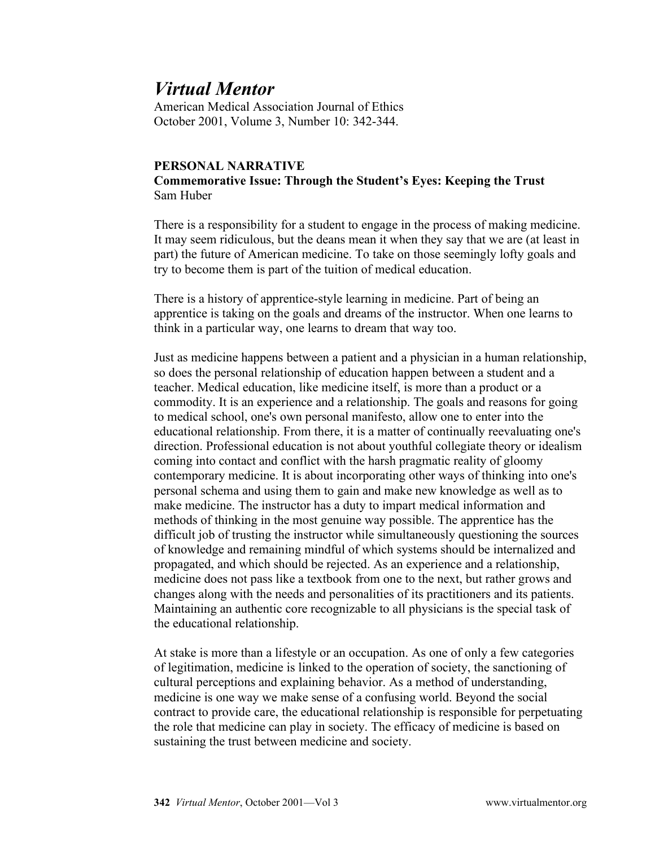## *Virtual Mentor*

American Medical Association Journal of Ethics October 2001, Volume 3, Number 10: 342-344.

## **PERSONAL NARRATIVE Commemorative Issue: Through the Student's Eyes: Keeping the Trust** Sam Huber

There is a responsibility for a student to engage in the process of making medicine. It may seem ridiculous, but the deans mean it when they say that we are (at least in part) the future of American medicine. To take on those seemingly lofty goals and try to become them is part of the tuition of medical education.

There is a history of apprentice-style learning in medicine. Part of being an apprentice is taking on the goals and dreams of the instructor. When one learns to think in a particular way, one learns to dream that way too.

Just as medicine happens between a patient and a physician in a human relationship, so does the personal relationship of education happen between a student and a teacher. Medical education, like medicine itself, is more than a product or a commodity. It is an experience and a relationship. The goals and reasons for going to medical school, one's own personal manifesto, allow one to enter into the educational relationship. From there, it is a matter of continually reevaluating one's direction. Professional education is not about youthful collegiate theory or idealism coming into contact and conflict with the harsh pragmatic reality of gloomy contemporary medicine. It is about incorporating other ways of thinking into one's personal schema and using them to gain and make new knowledge as well as to make medicine. The instructor has a duty to impart medical information and methods of thinking in the most genuine way possible. The apprentice has the difficult job of trusting the instructor while simultaneously questioning the sources of knowledge and remaining mindful of which systems should be internalized and propagated, and which should be rejected. As an experience and a relationship, medicine does not pass like a textbook from one to the next, but rather grows and changes along with the needs and personalities of its practitioners and its patients. Maintaining an authentic core recognizable to all physicians is the special task of the educational relationship.

At stake is more than a lifestyle or an occupation. As one of only a few categories of legitimation, medicine is linked to the operation of society, the sanctioning of cultural perceptions and explaining behavior. As a method of understanding, medicine is one way we make sense of a confusing world. Beyond the social contract to provide care, the educational relationship is responsible for perpetuating the role that medicine can play in society. The efficacy of medicine is based on sustaining the trust between medicine and society.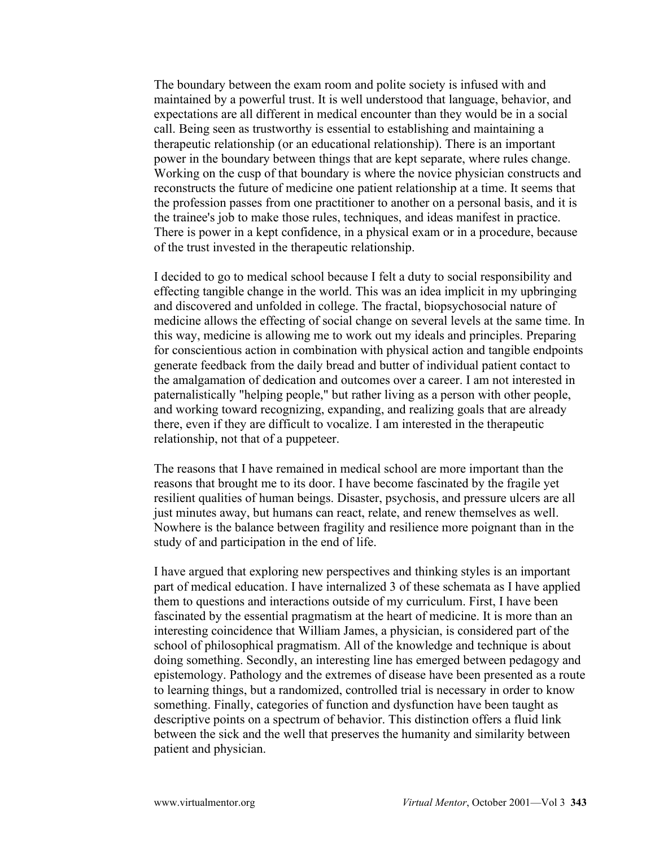The boundary between the exam room and polite society is infused with and maintained by a powerful trust. It is well understood that language, behavior, and expectations are all different in medical encounter than they would be in a social call. Being seen as trustworthy is essential to establishing and maintaining a therapeutic relationship (or an educational relationship). There is an important power in the boundary between things that are kept separate, where rules change. Working on the cusp of that boundary is where the novice physician constructs and reconstructs the future of medicine one patient relationship at a time. It seems that the profession passes from one practitioner to another on a personal basis, and it is the trainee's job to make those rules, techniques, and ideas manifest in practice. There is power in a kept confidence, in a physical exam or in a procedure, because of the trust invested in the therapeutic relationship.

I decided to go to medical school because I felt a duty to social responsibility and effecting tangible change in the world. This was an idea implicit in my upbringing and discovered and unfolded in college. The fractal, biopsychosocial nature of medicine allows the effecting of social change on several levels at the same time. In this way, medicine is allowing me to work out my ideals and principles. Preparing for conscientious action in combination with physical action and tangible endpoints generate feedback from the daily bread and butter of individual patient contact to the amalgamation of dedication and outcomes over a career. I am not interested in paternalistically "helping people," but rather living as a person with other people, and working toward recognizing, expanding, and realizing goals that are already there, even if they are difficult to vocalize. I am interested in the therapeutic relationship, not that of a puppeteer.

The reasons that I have remained in medical school are more important than the reasons that brought me to its door. I have become fascinated by the fragile yet resilient qualities of human beings. Disaster, psychosis, and pressure ulcers are all just minutes away, but humans can react, relate, and renew themselves as well. Nowhere is the balance between fragility and resilience more poignant than in the study of and participation in the end of life.

I have argued that exploring new perspectives and thinking styles is an important part of medical education. I have internalized 3 of these schemata as I have applied them to questions and interactions outside of my curriculum. First, I have been fascinated by the essential pragmatism at the heart of medicine. It is more than an interesting coincidence that William James, a physician, is considered part of the school of philosophical pragmatism. All of the knowledge and technique is about doing something. Secondly, an interesting line has emerged between pedagogy and epistemology. Pathology and the extremes of disease have been presented as a route to learning things, but a randomized, controlled trial is necessary in order to know something. Finally, categories of function and dysfunction have been taught as descriptive points on a spectrum of behavior. This distinction offers a fluid link between the sick and the well that preserves the humanity and similarity between patient and physician.